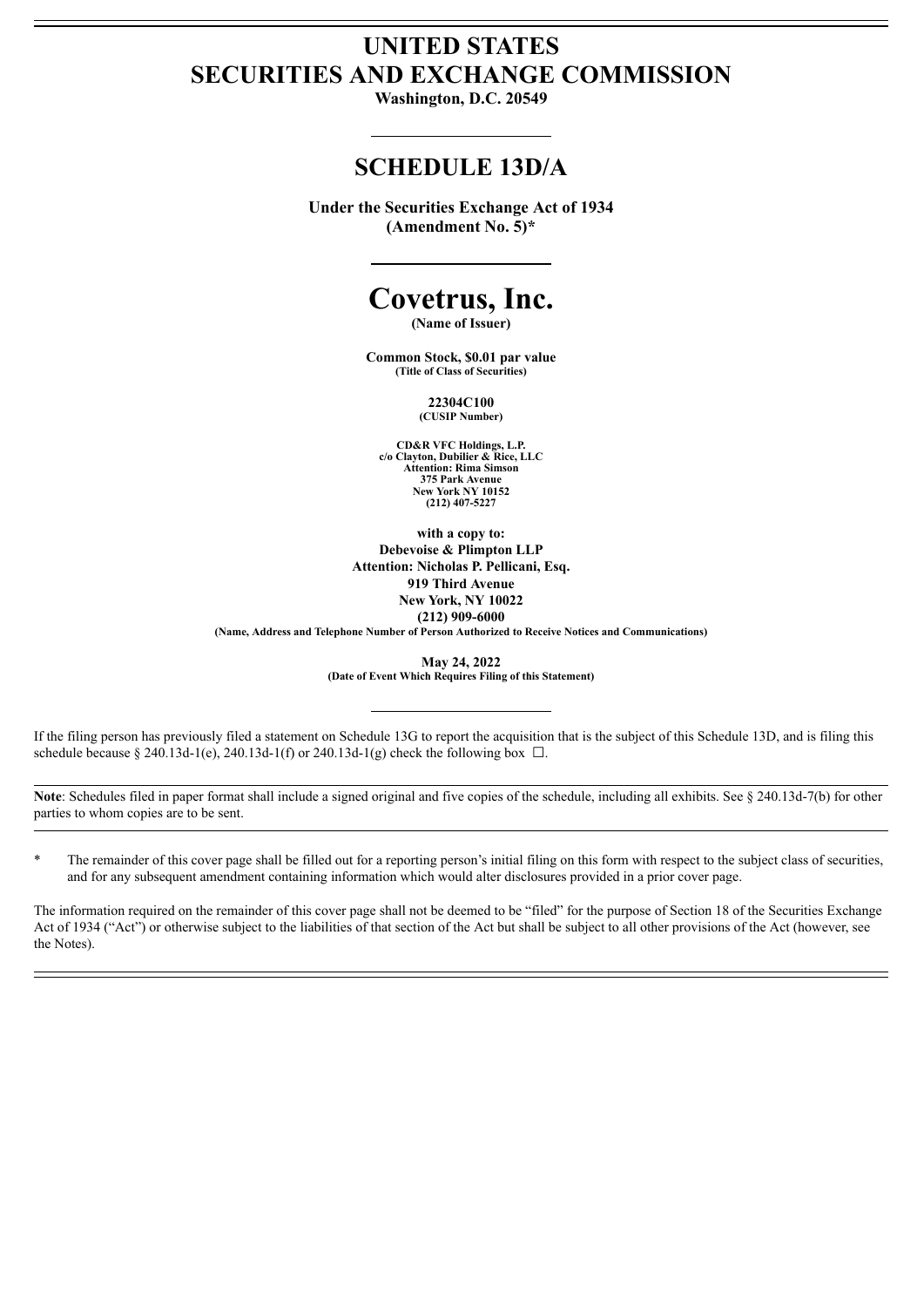## **UNITED STATES SECURITIES AND EXCHANGE COMMISSION**

**Washington, D.C. 20549**

## **SCHEDULE 13D/A**

**Under the Securities Exchange Act of 1934 (Amendment No. 5)\***

# **Covetrus, Inc.**

**(Name of Issuer)**

**Common Stock, \$0.01 par value (Title of Class of Securities)**

> **22304C100 (CUSIP Number)**

**CD&R VFC Holdings, L.P. c/o Clayton, Dubilier & Rice, LLC Attention: Rima Simson 375 Park Avenue New York NY 10152 (212) 407-5227**

**with a copy to: Debevoise & Plimpton LLP Attention: Nicholas P. Pellicani, Esq. 919 Third Avenue New York, NY 10022 (212) 909-6000**

**(Name, Address and Telephone Number of Person Authorized to Receive Notices and Communications)**

**May 24, 2022**

**(Date of Event Which Requires Filing of this Statement)**

If the filing person has previously filed a statement on Schedule 13G to report the acquisition that is the subject of this Schedule 13D, and is filing this schedule because § 240.13d-1(e), 240.13d-1(f) or 240.13d-1(g) check the following box  $\Box$ .

Note: Schedules filed in paper format shall include a signed original and five copies of the schedule, including all exhibits. See § 240.13d-7(b) for other parties to whom copies are to be sent.

The remainder of this cover page shall be filled out for a reporting person's initial filing on this form with respect to the subject class of securities, and for any subsequent amendment containing information which would alter disclosures provided in a prior cover page.

The information required on the remainder of this cover page shall not be deemed to be "filed" for the purpose of Section 18 of the Securities Exchange Act of 1934 ("Act") or otherwise subject to the liabilities of that section of the Act but shall be subject to all other provisions of the Act (however, see the Notes).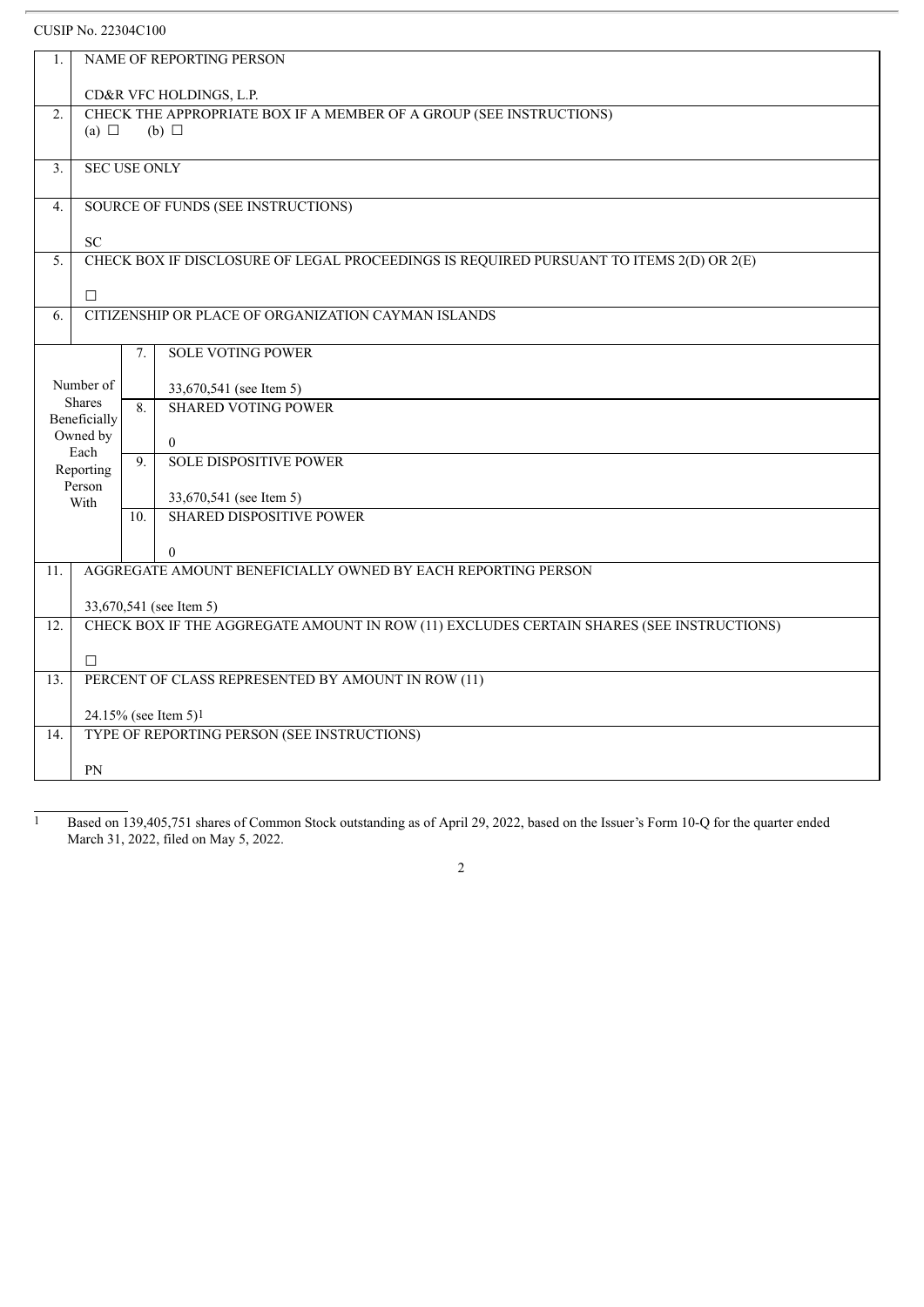CUSIP No. 22304C100

| 1.               | NAME OF REPORTING PERSON                                            |                                  |                                                                                          |  |  |  |
|------------------|---------------------------------------------------------------------|----------------------------------|------------------------------------------------------------------------------------------|--|--|--|
|                  |                                                                     |                                  | CD&R VFC HOLDINGS, L.P.                                                                  |  |  |  |
| 2.               | CHECK THE APPROPRIATE BOX IF A MEMBER OF A GROUP (SEE INSTRUCTIONS) |                                  |                                                                                          |  |  |  |
|                  | (a) $\Box$                                                          |                                  | $(b)$ $\square$                                                                          |  |  |  |
|                  |                                                                     |                                  |                                                                                          |  |  |  |
| 3.               | <b>SEC USE ONLY</b>                                                 |                                  |                                                                                          |  |  |  |
| $\overline{4}$ . | SOURCE OF FUNDS (SEE INSTRUCTIONS)                                  |                                  |                                                                                          |  |  |  |
|                  |                                                                     |                                  |                                                                                          |  |  |  |
|                  | <b>SC</b>                                                           |                                  |                                                                                          |  |  |  |
| 5.               |                                                                     |                                  | CHECK BOX IF DISCLOSURE OF LEGAL PROCEEDINGS IS REQUIRED PURSUANT TO ITEMS 2(D) OR 2(E)  |  |  |  |
|                  | $\Box$                                                              |                                  |                                                                                          |  |  |  |
| 6.               |                                                                     |                                  | CITIZENSHIP OR PLACE OF ORGANIZATION CAYMAN ISLANDS                                      |  |  |  |
|                  |                                                                     |                                  |                                                                                          |  |  |  |
|                  |                                                                     | 7.                               | <b>SOLE VOTING POWER</b>                                                                 |  |  |  |
|                  |                                                                     |                                  |                                                                                          |  |  |  |
|                  | Number of                                                           |                                  | 33,670,541 (see Item 5)                                                                  |  |  |  |
|                  | <b>Shares</b>                                                       | 8.                               | <b>SHARED VOTING POWER</b>                                                               |  |  |  |
|                  | Beneficially<br>Owned by                                            |                                  |                                                                                          |  |  |  |
|                  | Each                                                                |                                  | $\mathbf{0}$                                                                             |  |  |  |
|                  | Reporting                                                           | 9.                               | <b>SOLE DISPOSITIVE POWER</b>                                                            |  |  |  |
|                  | Person                                                              |                                  |                                                                                          |  |  |  |
|                  | With                                                                |                                  | 33,670,541 (see Item 5)                                                                  |  |  |  |
|                  |                                                                     | 10.                              | <b>SHARED DISPOSITIVE POWER</b>                                                          |  |  |  |
|                  |                                                                     |                                  | $\theta$                                                                                 |  |  |  |
| 11.              |                                                                     |                                  | AGGREGATE AMOUNT BENEFICIALLY OWNED BY EACH REPORTING PERSON                             |  |  |  |
|                  |                                                                     |                                  |                                                                                          |  |  |  |
|                  |                                                                     |                                  | 33,670,541 (see Item 5)                                                                  |  |  |  |
| 12.              |                                                                     |                                  | CHECK BOX IF THE AGGREGATE AMOUNT IN ROW (11) EXCLUDES CERTAIN SHARES (SEE INSTRUCTIONS) |  |  |  |
|                  |                                                                     |                                  |                                                                                          |  |  |  |
|                  | $\Box$                                                              |                                  |                                                                                          |  |  |  |
| 13.              |                                                                     |                                  | PERCENT OF CLASS REPRESENTED BY AMOUNT IN ROW (11)                                       |  |  |  |
|                  |                                                                     | 24.15% (see Item 5) <sup>1</sup> |                                                                                          |  |  |  |
| 14.              | TYPE OF REPORTING PERSON (SEE INSTRUCTIONS)                         |                                  |                                                                                          |  |  |  |
|                  |                                                                     |                                  |                                                                                          |  |  |  |
|                  | <b>PN</b>                                                           |                                  |                                                                                          |  |  |  |

1 Based on 139,405,751 shares of Common Stock outstanding as of April 29, 2022, based on the Issuer's Form 10-Q for the quarter ended March 31, 2022, filed on May 5, 2022.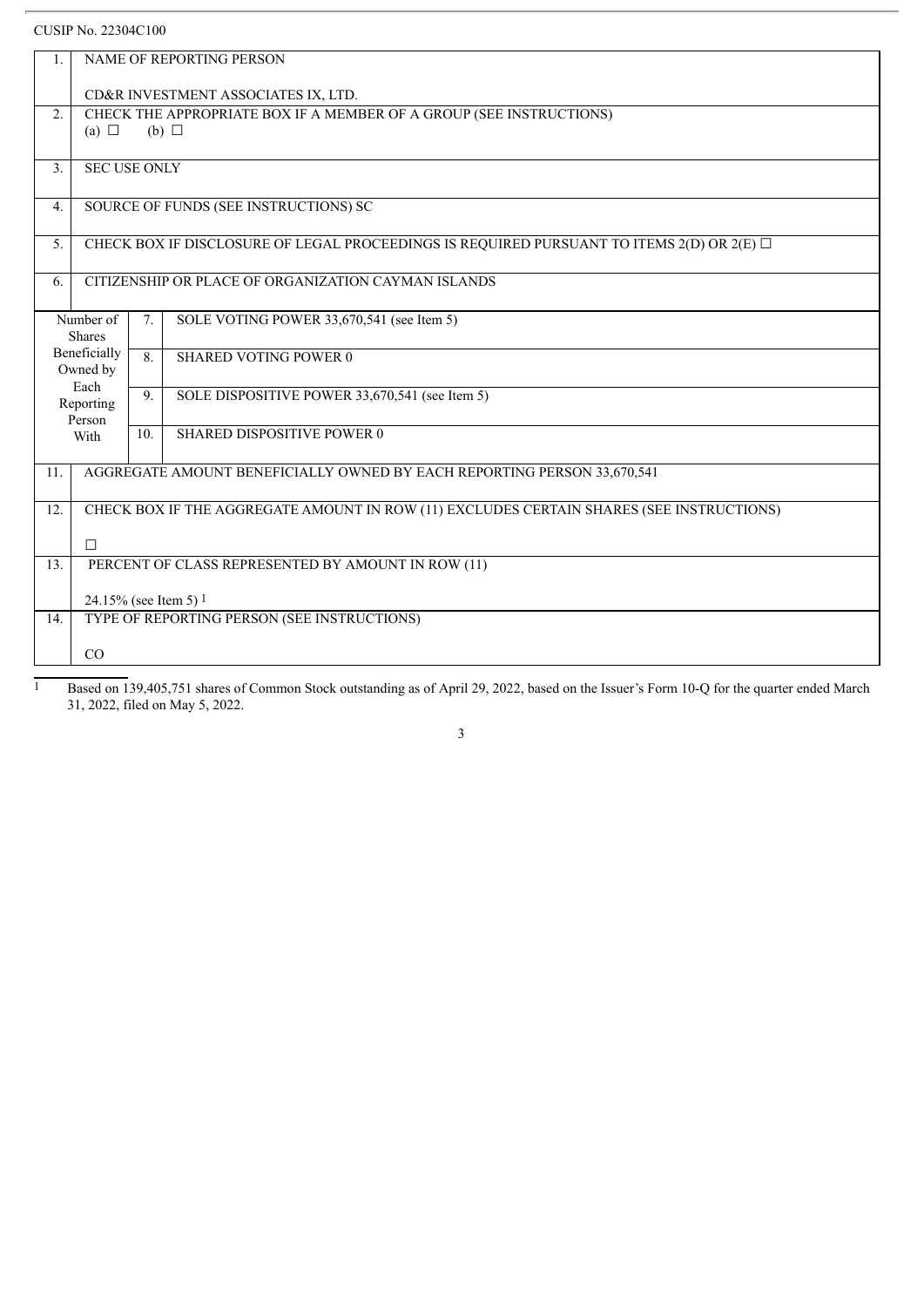## CUSIP No. 22304C100

| 1.               |                                                                                           |     | NAME OF REPORTING PERSON                                                                 |  |  |
|------------------|-------------------------------------------------------------------------------------------|-----|------------------------------------------------------------------------------------------|--|--|
|                  |                                                                                           |     | CD&R INVESTMENT ASSOCIATES IX, LTD.                                                      |  |  |
| 2.               |                                                                                           |     | CHECK THE APPROPRIATE BOX IF A MEMBER OF A GROUP (SEE INSTRUCTIONS)                      |  |  |
|                  | (a) $\Box$                                                                                |     | (b) $\Box$                                                                               |  |  |
| 3.               | <b>SEC USE ONLY</b>                                                                       |     |                                                                                          |  |  |
| $\overline{4}$ . | SOURCE OF FUNDS (SEE INSTRUCTIONS) SC                                                     |     |                                                                                          |  |  |
| 5.               | CHECK BOX IF DISCLOSURE OF LEGAL PROCEEDINGS IS REQUIRED PURSUANT TO ITEMS 2(D) OR 2(E) O |     |                                                                                          |  |  |
| 6.               | CITIZENSHIP OR PLACE OF ORGANIZATION CAYMAN ISLANDS                                       |     |                                                                                          |  |  |
|                  | Number of<br><b>Shares</b><br>Beneficially<br>Owned by<br>Each                            | 7.  | SOLE VOTING POWER 33,670,541 (see Item 5)                                                |  |  |
|                  |                                                                                           | 8.  | <b>SHARED VOTING POWER 0</b>                                                             |  |  |
|                  | Reporting<br>Person                                                                       | 9.  | SOLE DISPOSITIVE POWER 33,670,541 (see Item 5)                                           |  |  |
|                  | With                                                                                      | 10. | SHARED DISPOSITIVE POWER 0                                                               |  |  |
| 11.              | AGGREGATE AMOUNT BENEFICIALLY OWNED BY EACH REPORTING PERSON 33,670,541                   |     |                                                                                          |  |  |
| 12.              |                                                                                           |     | CHECK BOX IF THE AGGREGATE AMOUNT IN ROW (11) EXCLUDES CERTAIN SHARES (SEE INSTRUCTIONS) |  |  |
|                  | $\Box$                                                                                    |     |                                                                                          |  |  |
| 13.              | PERCENT OF CLASS REPRESENTED BY AMOUNT IN ROW (11)                                        |     |                                                                                          |  |  |
|                  | 24.15% (see Item 5) 1                                                                     |     |                                                                                          |  |  |
| 14.              |                                                                                           |     | TYPE OF REPORTING PERSON (SEE INSTRUCTIONS)                                              |  |  |
|                  | CO                                                                                        |     |                                                                                          |  |  |
|                  |                                                                                           |     |                                                                                          |  |  |

1 Based on 139,405,751 shares of Common Stock outstanding as of April 29, 2022, based on the Issuer's Form 10-Q for the quarter ended March 31, 2022, filed on May 5, 2022.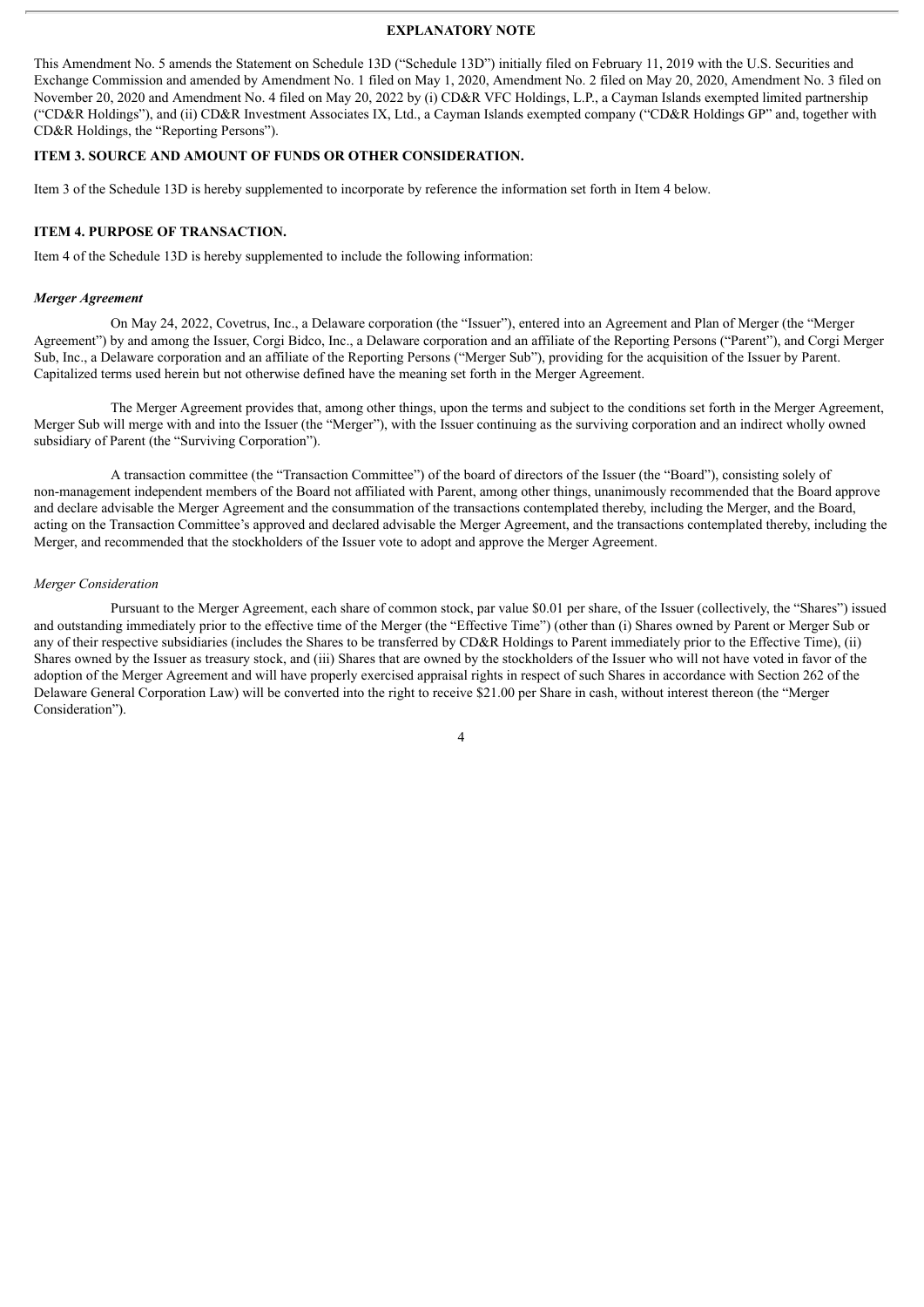#### **EXPLANATORY NOTE**

This Amendment No. 5 amends the Statement on Schedule 13D ("Schedule 13D") initially filed on February 11, 2019 with the U.S. Securities and Exchange Commission and amended by Amendment No. 1 filed on May 1, 2020, Amendment No. 2 filed on May 20, 2020, Amendment No. 3 filed on November 20, 2020 and Amendment No. 4 filed on May 20, 2022 by (i) CD&R VFC Holdings, L.P., a Cayman Islands exempted limited partnership ("CD&R Holdings"), and (ii) CD&R Investment Associates IX, Ltd., a Cayman Islands exempted company ("CD&R Holdings GP" and, together with CD&R Holdings, the "Reporting Persons").

#### **ITEM 3. SOURCE AND AMOUNT OF FUNDS OR OTHER CONSIDERATION.**

Item 3 of the Schedule 13D is hereby supplemented to incorporate by reference the information set forth in Item 4 below.

#### **ITEM 4. PURPOSE OF TRANSACTION.**

Item 4 of the Schedule 13D is hereby supplemented to include the following information:

#### *Merger Agreement*

On May 24, 2022, Covetrus, Inc., a Delaware corporation (the "Issuer"), entered into an Agreement and Plan of Merger (the "Merger Agreement") by and among the Issuer, Corgi Bidco, Inc., a Delaware corporation and an affiliate of the Reporting Persons ("Parent"), and Corgi Merger Sub, Inc., a Delaware corporation and an affiliate of the Reporting Persons ("Merger Sub"), providing for the acquisition of the Issuer by Parent. Capitalized terms used herein but not otherwise defined have the meaning set forth in the Merger Agreement.

The Merger Agreement provides that, among other things, upon the terms and subject to the conditions set forth in the Merger Agreement, Merger Sub will merge with and into the Issuer (the "Merger"), with the Issuer continuing as the surviving corporation and an indirect wholly owned subsidiary of Parent (the "Surviving Corporation").

A transaction committee (the "Transaction Committee") of the board of directors of the Issuer (the "Board"), consisting solely of non-management independent members of the Board not affiliated with Parent, among other things, unanimously recommended that the Board approve and declare advisable the Merger Agreement and the consummation of the transactions contemplated thereby, including the Merger, and the Board, acting on the Transaction Committee's approved and declared advisable the Merger Agreement, and the transactions contemplated thereby, including the Merger, and recommended that the stockholders of the Issuer vote to adopt and approve the Merger Agreement.

#### *Merger Consideration*

Pursuant to the Merger Agreement, each share of common stock, par value \$0.01 per share, of the Issuer (collectively, the "Shares") issued and outstanding immediately prior to the effective time of the Merger (the "Effective Time") (other than (i) Shares owned by Parent or Merger Sub or any of their respective subsidiaries (includes the Shares to be transferred by CD&R Holdings to Parent immediately prior to the Effective Time), (ii) Shares owned by the Issuer as treasury stock, and (iii) Shares that are owned by the stockholders of the Issuer who will not have voted in favor of the adoption of the Merger Agreement and will have properly exercised appraisal rights in respect of such Shares in accordance with Section 262 of the Delaware General Corporation Law) will be converted into the right to receive \$21.00 per Share in cash, without interest thereon (the "Merger Consideration").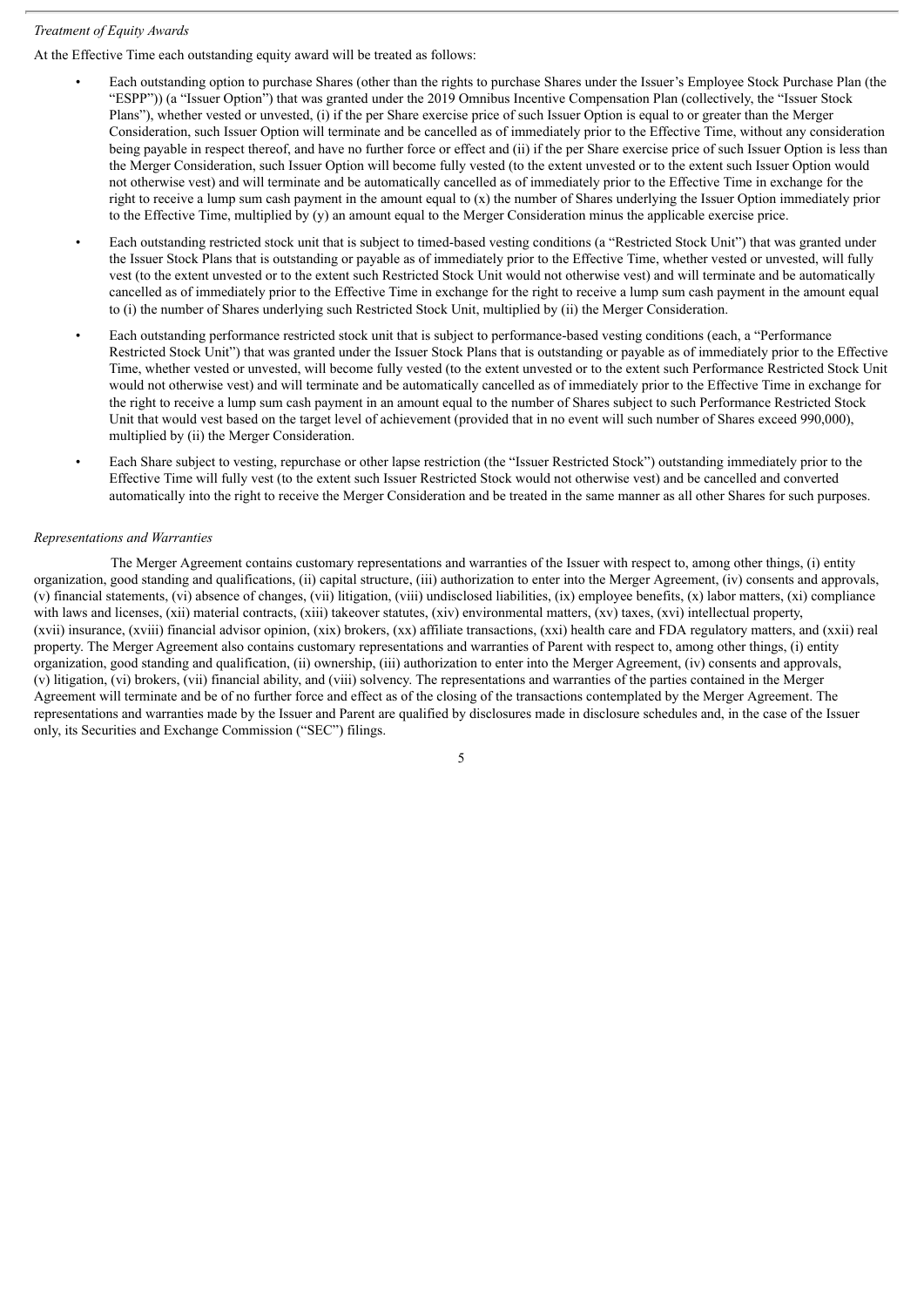### *Treatment of Equity Awards*

At the Effective Time each outstanding equity award will be treated as follows:

- Each outstanding option to purchase Shares (other than the rights to purchase Shares under the Issuer's Employee Stock Purchase Plan (the "ESPP")) (a "Issuer Option") that was granted under the 2019 Omnibus Incentive Compensation Plan (collectively, the "Issuer Stock Plans"), whether vested or unvested, (i) if the per Share exercise price of such Issuer Option is equal to or greater than the Merger Consideration, such Issuer Option will terminate and be cancelled as of immediately prior to the Effective Time, without any consideration being payable in respect thereof, and have no further force or effect and (ii) if the per Share exercise price of such Issuer Option is less than the Merger Consideration, such Issuer Option will become fully vested (to the extent unvested or to the extent such Issuer Option would not otherwise vest) and will terminate and be automatically cancelled as of immediately prior to the Effective Time in exchange for the right to receive a lump sum cash payment in the amount equal to (x) the number of Shares underlying the Issuer Option immediately prior to the Effective Time, multiplied by (y) an amount equal to the Merger Consideration minus the applicable exercise price.
- Each outstanding restricted stock unit that is subject to timed-based vesting conditions (a "Restricted Stock Unit") that was granted under the Issuer Stock Plans that is outstanding or payable as of immediately prior to the Effective Time, whether vested or unvested, will fully vest (to the extent unvested or to the extent such Restricted Stock Unit would not otherwise vest) and will terminate and be automatically cancelled as of immediately prior to the Effective Time in exchange for the right to receive a lump sum cash payment in the amount equal to (i) the number of Shares underlying such Restricted Stock Unit, multiplied by (ii) the Merger Consideration.
- Each outstanding performance restricted stock unit that is subject to performance-based vesting conditions (each, a "Performance Restricted Stock Unit") that was granted under the Issuer Stock Plans that is outstanding or payable as of immediately prior to the Effective Time, whether vested or unvested, will become fully vested (to the extent unvested or to the extent such Performance Restricted Stock Unit would not otherwise vest) and will terminate and be automatically cancelled as of immediately prior to the Effective Time in exchange for the right to receive a lump sum cash payment in an amount equal to the number of Shares subject to such Performance Restricted Stock Unit that would vest based on the target level of achievement (provided that in no event will such number of Shares exceed 990,000), multiplied by (ii) the Merger Consideration.
- Each Share subject to vesting, repurchase or other lapse restriction (the "Issuer Restricted Stock") outstanding immediately prior to the Effective Time will fully vest (to the extent such Issuer Restricted Stock would not otherwise vest) and be cancelled and converted automatically into the right to receive the Merger Consideration and be treated in the same manner as all other Shares for such purposes.

#### *Representations and Warranties*

The Merger Agreement contains customary representations and warranties of the Issuer with respect to, among other things, (i) entity organization, good standing and qualifications, (ii) capital structure, (iii) authorization to enter into the Merger Agreement, (iv) consents and approvals, (v) financial statements, (vi) absence of changes, (vii) litigation, (viii) undisclosed liabilities, (ix) employee benefits, (x) labor matters, (xi) compliance with laws and licenses, (xii) material contracts, (xiii) takeover statutes, (xiv) environmental matters, (xv) taxes, (xvi) intellectual property, (xvii) insurance, (xviii) financial advisor opinion, (xix) brokers, (xx) affiliate transactions, (xxi) health care and FDA regulatory matters, and (xxii) real property. The Merger Agreement also contains customary representations and warranties of Parent with respect to, among other things, (i) entity organization, good standing and qualification, (ii) ownership, (iii) authorization to enter into the Merger Agreement, (iv) consents and approvals, (v) litigation, (vi) brokers, (vii) financial ability, and (viii) solvency. The representations and warranties of the parties contained in the Merger Agreement will terminate and be of no further force and effect as of the closing of the transactions contemplated by the Merger Agreement. The representations and warranties made by the Issuer and Parent are qualified by disclosures made in disclosure schedules and, in the case of the Issuer only, its Securities and Exchange Commission ("SEC") filings.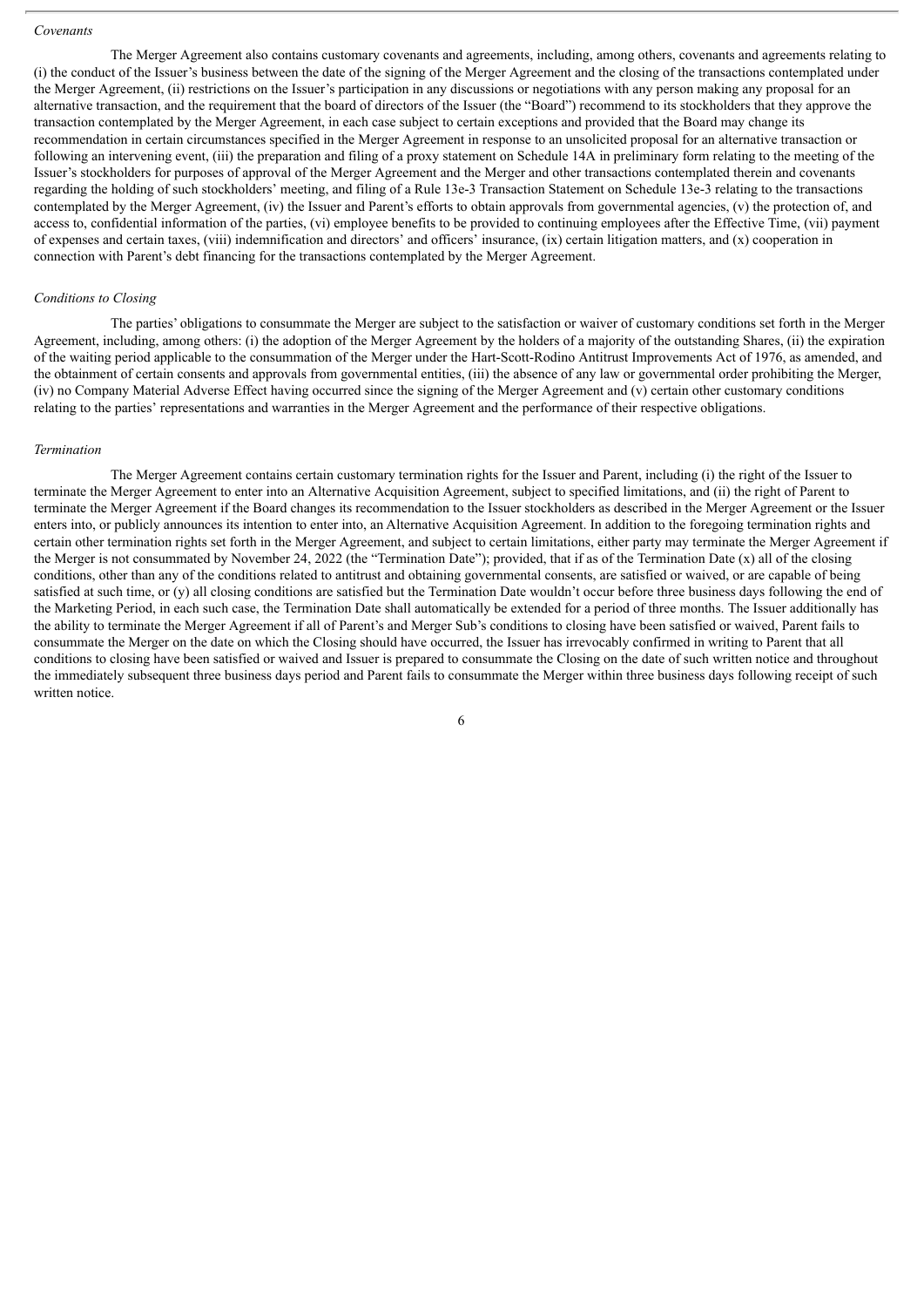#### *Covenants*

The Merger Agreement also contains customary covenants and agreements, including, among others, covenants and agreements relating to (i) the conduct of the Issuer's business between the date of the signing of the Merger Agreement and the closing of the transactions contemplated under the Merger Agreement, (ii) restrictions on the Issuer's participation in any discussions or negotiations with any person making any proposal for an alternative transaction, and the requirement that the board of directors of the Issuer (the "Board") recommend to its stockholders that they approve the transaction contemplated by the Merger Agreement, in each case subject to certain exceptions and provided that the Board may change its recommendation in certain circumstances specified in the Merger Agreement in response to an unsolicited proposal for an alternative transaction or following an intervening event, (iii) the preparation and filing of a proxy statement on Schedule 14A in preliminary form relating to the meeting of the Issuer's stockholders for purposes of approval of the Merger Agreement and the Merger and other transactions contemplated therein and covenants regarding the holding of such stockholders' meeting, and filing of a Rule 13e-3 Transaction Statement on Schedule 13e-3 relating to the transactions contemplated by the Merger Agreement, (iv) the Issuer and Parent's efforts to obtain approvals from governmental agencies, (v) the protection of, and access to, confidential information of the parties, (vi) employee benefits to be provided to continuing employees after the Effective Time, (vii) payment of expenses and certain taxes, (viii) indemnification and directors' and officers' insurance, (ix) certain litigation matters, and (x) cooperation in connection with Parent's debt financing for the transactions contemplated by the Merger Agreement.

#### *Conditions to Closing*

The parties' obligations to consummate the Merger are subject to the satisfaction or waiver of customary conditions set forth in the Merger Agreement, including, among others: (i) the adoption of the Merger Agreement by the holders of a majority of the outstanding Shares, (ii) the expiration of the waiting period applicable to the consummation of the Merger under the Hart-Scott-Rodino Antitrust Improvements Act of 1976, as amended, and the obtainment of certain consents and approvals from governmental entities, (iii) the absence of any law or governmental order prohibiting the Merger, (iv) no Company Material Adverse Effect having occurred since the signing of the Merger Agreement and (v) certain other customary conditions relating to the parties' representations and warranties in the Merger Agreement and the performance of their respective obligations.

#### *Termination*

The Merger Agreement contains certain customary termination rights for the Issuer and Parent, including (i) the right of the Issuer to terminate the Merger Agreement to enter into an Alternative Acquisition Agreement, subject to specified limitations, and (ii) the right of Parent to terminate the Merger Agreement if the Board changes its recommendation to the Issuer stockholders as described in the Merger Agreement or the Issuer enters into, or publicly announces its intention to enter into, an Alternative Acquisition Agreement. In addition to the foregoing termination rights and certain other termination rights set forth in the Merger Agreement, and subject to certain limitations, either party may terminate the Merger Agreement if the Merger is not consummated by November 24, 2022 (the "Termination Date"); provided, that if as of the Termination Date (x) all of the closing conditions, other than any of the conditions related to antitrust and obtaining governmental consents, are satisfied or waived, or are capable of being satisfied at such time, or (y) all closing conditions are satisfied but the Termination Date wouldn't occur before three business days following the end of the Marketing Period, in each such case, the Termination Date shall automatically be extended for a period of three months. The Issuer additionally has the ability to terminate the Merger Agreement if all of Parent's and Merger Sub's conditions to closing have been satisfied or waived, Parent fails to consummate the Merger on the date on which the Closing should have occurred, the Issuer has irrevocably confirmed in writing to Parent that all conditions to closing have been satisfied or waived and Issuer is prepared to consummate the Closing on the date of such written notice and throughout the immediately subsequent three business days period and Parent fails to consummate the Merger within three business days following receipt of such written notice.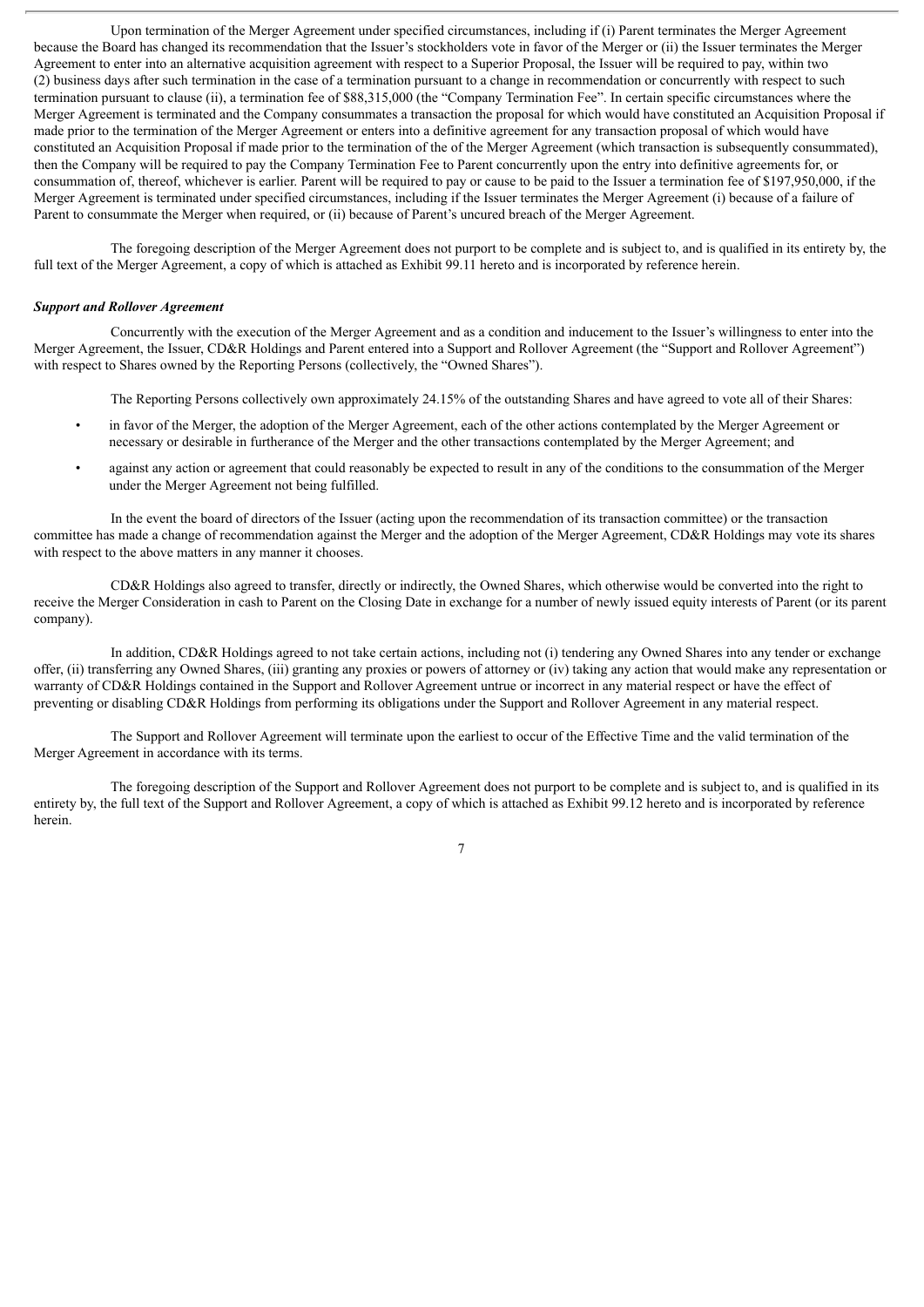Upon termination of the Merger Agreement under specified circumstances, including if (i) Parent terminates the Merger Agreement because the Board has changed its recommendation that the Issuer's stockholders vote in favor of the Merger or (ii) the Issuer terminates the Merger Agreement to enter into an alternative acquisition agreement with respect to a Superior Proposal, the Issuer will be required to pay, within two (2) business days after such termination in the case of a termination pursuant to a change in recommendation or concurrently with respect to such termination pursuant to clause (ii), a termination fee of \$88,315,000 (the "Company Termination Fee". In certain specific circumstances where the Merger Agreement is terminated and the Company consummates a transaction the proposal for which would have constituted an Acquisition Proposal if made prior to the termination of the Merger Agreement or enters into a definitive agreement for any transaction proposal of which would have constituted an Acquisition Proposal if made prior to the termination of the of the Merger Agreement (which transaction is subsequently consummated), then the Company will be required to pay the Company Termination Fee to Parent concurrently upon the entry into definitive agreements for, or consummation of, thereof, whichever is earlier. Parent will be required to pay or cause to be paid to the Issuer a termination fee of \$197,950,000, if the Merger Agreement is terminated under specified circumstances, including if the Issuer terminates the Merger Agreement (i) because of a failure of Parent to consummate the Merger when required, or (ii) because of Parent's uncured breach of the Merger Agreement.

The foregoing description of the Merger Agreement does not purport to be complete and is subject to, and is qualified in its entirety by, the full text of the Merger Agreement, a copy of which is attached as Exhibit 99.11 hereto and is incorporated by reference herein.

#### *Support and Rollover Agreement*

Concurrently with the execution of the Merger Agreement and as a condition and inducement to the Issuer's willingness to enter into the Merger Agreement, the Issuer, CD&R Holdings and Parent entered into a Support and Rollover Agreement (the "Support and Rollover Agreement") with respect to Shares owned by the Reporting Persons (collectively, the "Owned Shares").

The Reporting Persons collectively own approximately 24.15% of the outstanding Shares and have agreed to vote all of their Shares:

- in favor of the Merger, the adoption of the Merger Agreement, each of the other actions contemplated by the Merger Agreement or necessary or desirable in furtherance of the Merger and the other transactions contemplated by the Merger Agreement; and
- against any action or agreement that could reasonably be expected to result in any of the conditions to the consummation of the Merger under the Merger Agreement not being fulfilled.

In the event the board of directors of the Issuer (acting upon the recommendation of its transaction committee) or the transaction committee has made a change of recommendation against the Merger and the adoption of the Merger Agreement, CD&R Holdings may vote its shares with respect to the above matters in any manner it chooses.

CD&R Holdings also agreed to transfer, directly or indirectly, the Owned Shares, which otherwise would be converted into the right to receive the Merger Consideration in cash to Parent on the Closing Date in exchange for a number of newly issued equity interests of Parent (or its parent company).

In addition, CD&R Holdings agreed to not take certain actions, including not (i) tendering any Owned Shares into any tender or exchange offer, (ii) transferring any Owned Shares, (iii) granting any proxies or powers of attorney or (iv) taking any action that would make any representation or warranty of CD&R Holdings contained in the Support and Rollover Agreement untrue or incorrect in any material respect or have the effect of preventing or disabling CD&R Holdings from performing its obligations under the Support and Rollover Agreement in any material respect.

The Support and Rollover Agreement will terminate upon the earliest to occur of the Effective Time and the valid termination of the Merger Agreement in accordance with its terms.

The foregoing description of the Support and Rollover Agreement does not purport to be complete and is subject to, and is qualified in its entirety by, the full text of the Support and Rollover Agreement, a copy of which is attached as Exhibit 99.12 hereto and is incorporated by reference herein.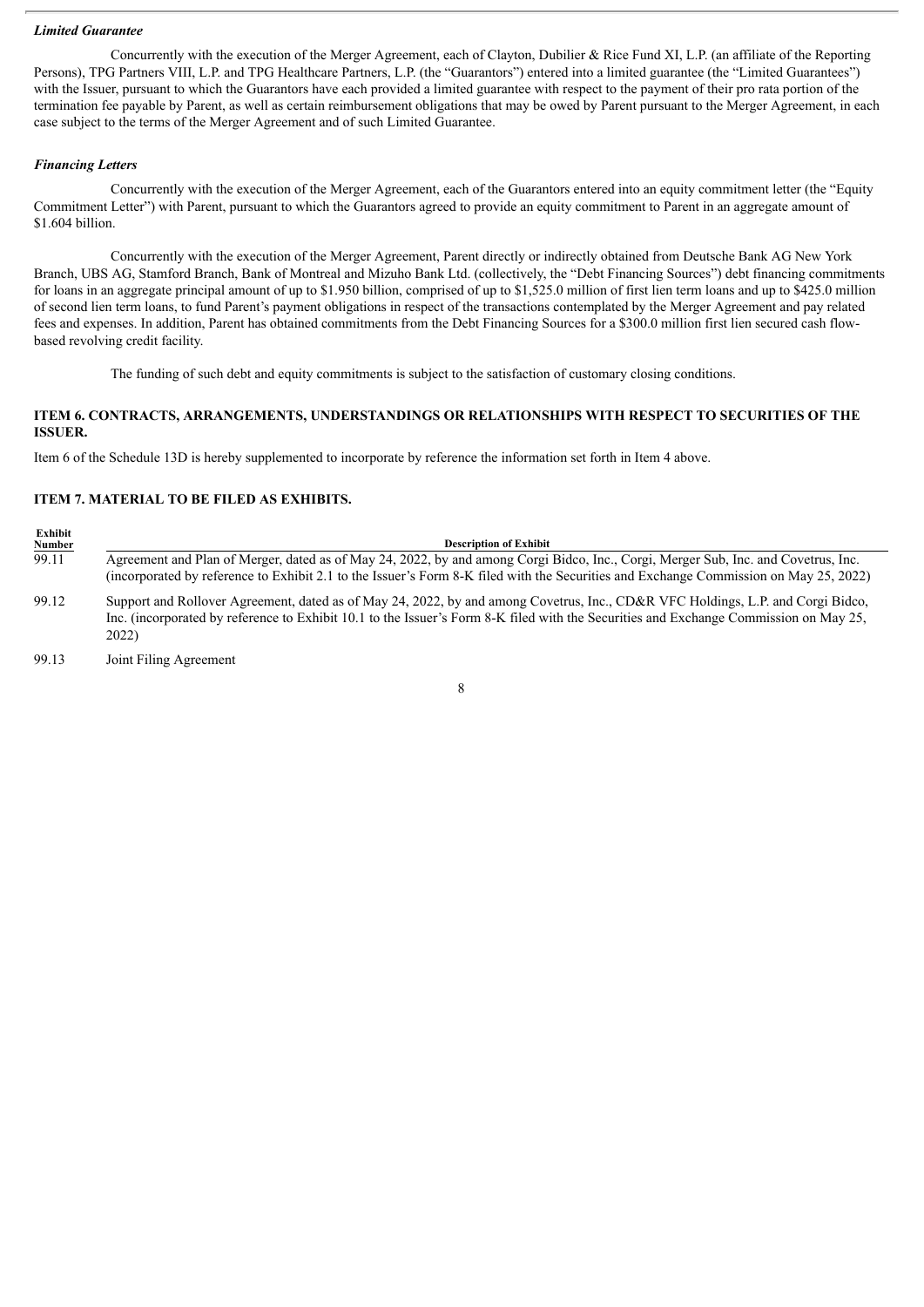#### *Limited Guarantee*

Concurrently with the execution of the Merger Agreement, each of Clayton, Dubilier & Rice Fund XI, L.P. (an affiliate of the Reporting Persons), TPG Partners VIII, L.P. and TPG Healthcare Partners, L.P. (the "Guarantors") entered into a limited guarantee (the "Limited Guarantees") with the Issuer, pursuant to which the Guarantors have each provided a limited guarantee with respect to the payment of their pro rata portion of the termination fee payable by Parent, as well as certain reimbursement obligations that may be owed by Parent pursuant to the Merger Agreement, in each case subject to the terms of the Merger Agreement and of such Limited Guarantee.

#### *Financing Letters*

Concurrently with the execution of the Merger Agreement, each of the Guarantors entered into an equity commitment letter (the "Equity Commitment Letter") with Parent, pursuant to which the Guarantors agreed to provide an equity commitment to Parent in an aggregate amount of \$1.604 billion.

Concurrently with the execution of the Merger Agreement, Parent directly or indirectly obtained from Deutsche Bank AG New York Branch, UBS AG, Stamford Branch, Bank of Montreal and Mizuho Bank Ltd. (collectively, the "Debt Financing Sources") debt financing commitments for loans in an aggregate principal amount of up to \$1.950 billion, comprised of up to \$1,525.0 million of first lien term loans and up to \$425.0 million of second lien term loans, to fund Parent's payment obligations in respect of the transactions contemplated by the Merger Agreement and pay related fees and expenses. In addition, Parent has obtained commitments from the Debt Financing Sources for a \$300.0 million first lien secured cash flowbased revolving credit facility.

The funding of such debt and equity commitments is subject to the satisfaction of customary closing conditions.

### **ITEM 6. CONTRACTS, ARRANGEMENTS, UNDERSTANDINGS OR RELATIONSHIPS WITH RESPECT TO SECURITIES OF THE ISSUER.**

Item 6 of the Schedule 13D is hereby supplemented to incorporate by reference the information set forth in Item 4 above.

#### **ITEM 7. MATERIAL TO BE FILED AS EXHIBITS.**

| Exhibit                       | <b>Description of Exhibit</b>                                                                                                                                                                                                                                                     |
|-------------------------------|-----------------------------------------------------------------------------------------------------------------------------------------------------------------------------------------------------------------------------------------------------------------------------------|
| $\frac{\text{Number}}{99.11}$ | Agreement and Plan of Merger, dated as of May 24, 2022, by and among Corgi Bidco, Inc., Corgi, Merger Sub, Inc. and Covetrus, Inc.<br>(incorporated by reference to Exhibit 2.1 to the Issuer's Form 8-K filed with the Securities and Exchange Commission on May 25, 2022)       |
| 99.12                         | Support and Rollover Agreement, dated as of May 24, 2022, by and among Covetrus, Inc., CD&R VFC Holdings, L.P. and Corgi Bidco,<br>Inc. (incorporated by reference to Exhibit 10.1 to the Issuer's Form 8-K filed with the Securities and Exchange Commission on May 25,<br>2022) |

99.13 Joint Filing Agreement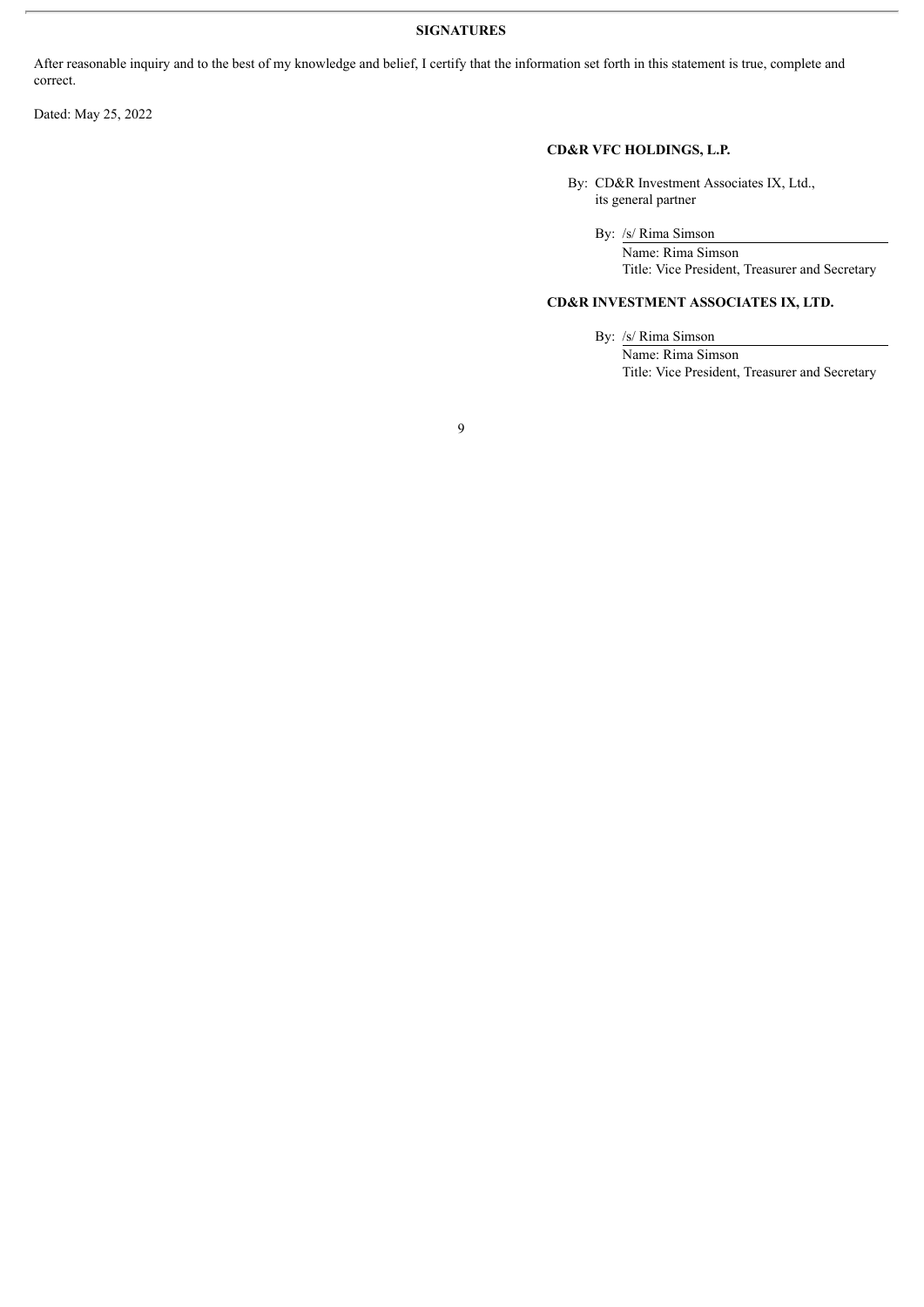## **SIGNATURES**

9

After reasonable inquiry and to the best of my knowledge and belief, I certify that the information set forth in this statement is true, complete and correct.

Dated: May 25, 2022

## **CD&R VFC HOLDINGS, L.P.**

By: CD&R Investment Associates IX, Ltd., its general partner

By: /s/ Rima Simson

Name: Rima Simson Title: Vice President, Treasurer and Secretary

## **CD&R INVESTMENT ASSOCIATES IX, LTD.**

By: /s/ Rima Simson

Name: Rima Simson Title: Vice President, Treasurer and Secretary